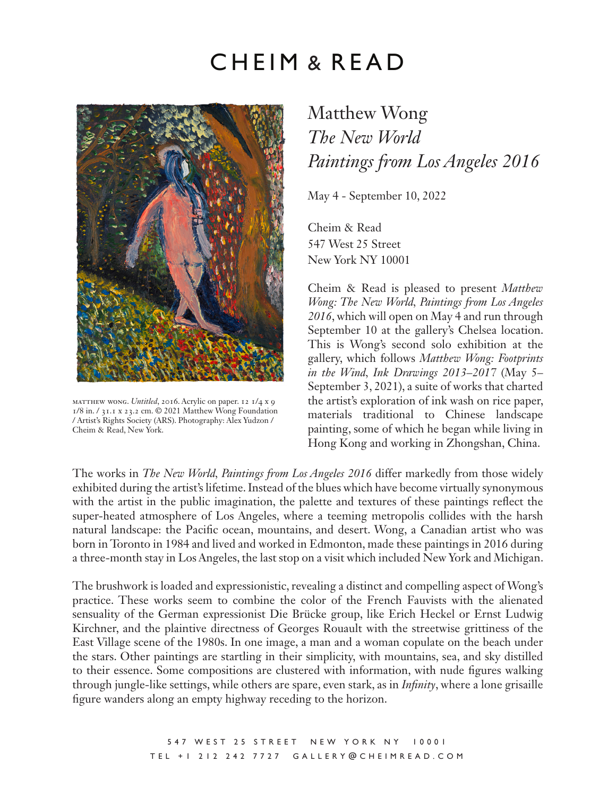## CHEIM & READ



matthew wong. *Untitled*, 2016. Acrylic on paper. 12 1/4 x 9 1/8 in. / 31.1 x 23.2 cm. © 2021 Matthew Wong Foundation / Artist's Rights Society (ARS). Photography: Alex Yudzon / Cheim & Read, New York.

## Matthew Wong *The New World Paintings from Los Angeles 2016*

May 4 - September 10, 2022

Cheim & Read 547 West 25 Street New York NY 10001

Cheim & Read is pleased to present *Matthew Wong: The New World, Paintings from Los Angeles 2016*, which will open on May 4 and run through September 10 at the gallery's Chelsea location. This is Wong's second solo exhibition at the gallery, which follows *Matthew Wong: Footprints in the Wind, Ink Drawings 2013–2017* (May 5– September 3, 2021), a suite of works that charted the artist's exploration of ink wash on rice paper, materials traditional to Chinese landscape painting, some of which he began while living in Hong Kong and working in Zhongshan, China.

The works in *The New World, Paintings from Los Angeles 2016* differ markedly from those widely exhibited during the artist's lifetime. Instead of the blues which have become virtually synonymous with the artist in the public imagination, the palette and textures of these paintings reflect the super-heated atmosphere of Los Angeles, where a teeming metropolis collides with the harsh natural landscape: the Pacific ocean, mountains, and desert. Wong, a Canadian artist who was born in Toronto in 1984 and lived and worked in Edmonton, made these paintings in 2016 during a three-month stay in Los Angeles, the last stop on a visit which included New York and Michigan.

The brushwork is loaded and expressionistic, revealing a distinct and compelling aspect of Wong's practice. These works seem to combine the color of the French Fauvists with the alienated sensuality of the German expressionist Die Brücke group, like Erich Heckel or Ernst Ludwig Kirchner, and the plaintive directness of Georges Rouault with the streetwise grittiness of the East Village scene of the 1980s. In one image, a man and a woman copulate on the beach under the stars. Other paintings are startling in their simplicity, with mountains, sea, and sky distilled to their essence. Some compositions are clustered with information, with nude figures walking through jungle-like settings, while others are spare, even stark, as in *Infinity*, where a lone grisaille figure wanders along an empty highway receding to the horizon.